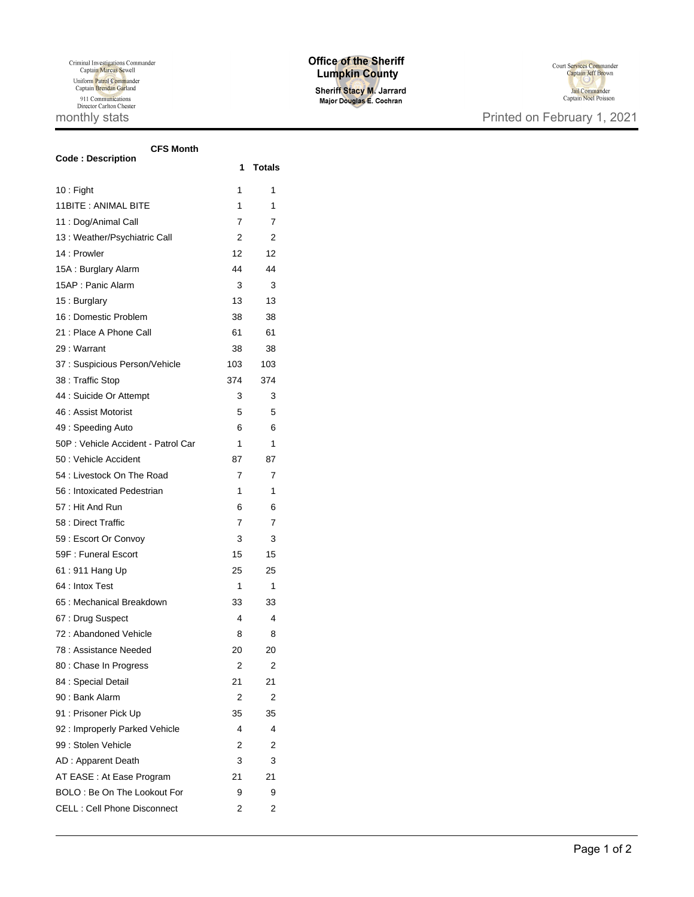## **Office of the Sheriff Lumpkin County**

Sheriff Stacy M. Jarrard<br>Major Douglas E. Cochran



| CFS Month<br><b>Code: Description</b> | 1   | <b>Totals</b> |
|---------------------------------------|-----|---------------|
| $10:$ Fight                           | 1   | 1             |
| 11BITE: ANIMAL BITE                   | 1   | 1             |
| 11 : Dog/Animal Call                  | 7   | 7             |
| 13 : Weather/Psychiatric Call         | 2   | 2             |
| 14 : Prowler                          | 12  | 12            |
| 15A: Burglary Alarm                   | 44  | 44            |
| 15AP: Panic Alarm                     | 3   | 3             |
| 15: Burglary                          | 13  | 13            |
| 16 : Domestic Problem                 | 38  | 38            |
| 21 : Place A Phone Call               | 61  | 61            |
| 29 : Warrant                          | 38  | 38            |
| 37 : Suspicious Person/Vehicle        | 103 | 103           |
| 38 : Traffic Stop                     | 374 | 374           |
| 44 : Suicide Or Attempt               | 3   | 3             |
| 46 : Assist Motorist                  | 5   | 5             |
| 49 : Speeding Auto                    | 6   | 6             |
| 50P : Vehicle Accident - Patrol Car   | 1   | 1             |
| 50 : Vehicle Accident                 | 87  | 87            |
| 54 : Livestock On The Road            | 7   | 7             |
| 56 : Intoxicated Pedestrian           | 1   | 1             |
| 57 : Hit And Run                      | 6   | 6             |
| 58 : Direct Traffic                   | 7   | 7             |
| 59 : Escort Or Convoy                 | 3   | 3             |
| 59F: Funeral Escort                   | 15  | 15            |
| 61:911 Hang Up                        | 25  | 25            |
| 64 : Intox Test                       | 1   | 1             |
| 65 : Mechanical Breakdown             | 33  | 33            |
| 67: Drug Suspect                      | 4   | 4             |
| 72: Abandoned Vehicle                 | 8   | 8             |
| 78 : Assistance Needed                | 20  | 20            |
| 80 : Chase In Progress                | 2   | 2             |
| 84 : Special Detail                   | 21  | 21            |
| 90 : Bank Alarm                       | 2   | 2             |
| 91 : Prisoner Pick Up                 | 35  | 35            |
| 92: Improperly Parked Vehicle         | 4   | 4             |
| 99 : Stolen Vehicle                   | 2   | 2             |
| AD: Apparent Death                    | 3   | 3             |
| AT EASE : At Ease Program             | 21  | 21            |
| BOLO: Be On The Lookout For           | 9   | 9             |
| <b>CELL: Cell Phone Disconnect</b>    | 2   | 2             |
|                                       |     |               |

**CFS Month**